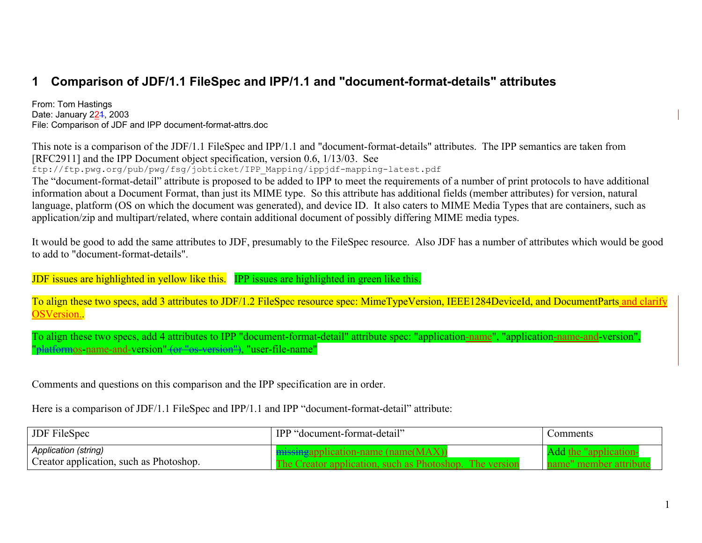# **1 Comparison of JDF/1.1 FileSpec and IPP/1.1 and "document-format-details" attributes**

From: Tom Hastings Date: January 2<u>2</u>4, 2003 File: Comparison of JDF and IPP document-format-attrs.doc

This note is a comparison of the JDF/1.1 FileSpec and IPP/1.1 and "document-format-details" attributes. The IPP semantics are taken from [RFC2911] and the IPP Document object specification, version 0.6, 1/13/03. See

ftp://ftp.pwg.org/pub/pwg/fsg/jobticket/IPP\_Mapping/ippjdf-mapping-latest.pdf

The "document-format-detail" attribute is proposed to be added to IPP to meet the requirements of a number of print protocols to have additional information about a Document Format, than just its MIME type. So this attribute has additional fields (member attributes) for version, natural language, platform (OS on which the document was generated), and device ID. It also caters to MIME Media Types that are containers, such as application/zip and multipart/related, where contain additional document of possibly differing MIME media types.

It would be good to add the same attributes to JDF, presumably to the FileSpec resource. Also JDF has a number of attributes which would be good to add to "document-format-details".

JDF issues are highlighted in yellow like this. IPP issues are highlighted in green like this.

To align these two specs, add 3 attributes to JDF/1.2 FileSpec resource spec: MimeTypeVersion, IEEE1284DeviceId, and DocumentParts and clarify OSVersion..

To align these two specs, add 4 attributes to IPP "document-format-detail" attribute spec: "application-name", "application-name-and-version", "platformos-name-and-version" (or "os-version"), "user-file-name"

Comments and questions on this comparison and the IPP specification are in order.

Here is a comparison of JDF/1.1 FileSpec and IPP/1.1 and IPP "document-format-detail" attribute:

| <b>JDF</b> FileSpec                                             | IPP "document-format-detail"                                                                                     | ∪omments                                       |
|-----------------------------------------------------------------|------------------------------------------------------------------------------------------------------------------|------------------------------------------------|
| Application (string)<br>Creator application, such as Photoshop. | <b>Example 2018</b> The Separation - name (name (MAX)<br>The Creator application, such as Photoshop. The version | the "application"<br>member attribute<br>name" |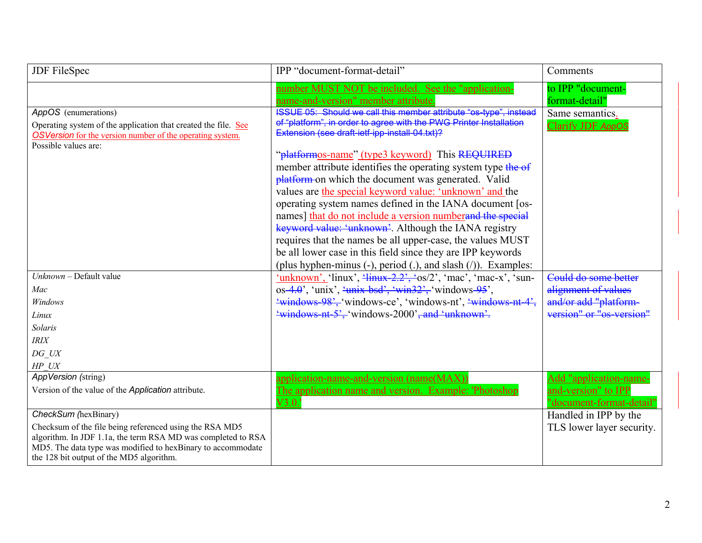| <b>JDF</b> FileSpec                                                                                                                                                                                                                | IPP "document-format-detail"                                                                                                                                                                                                                                                                                                                                                                                          | Comments                                               |
|------------------------------------------------------------------------------------------------------------------------------------------------------------------------------------------------------------------------------------|-----------------------------------------------------------------------------------------------------------------------------------------------------------------------------------------------------------------------------------------------------------------------------------------------------------------------------------------------------------------------------------------------------------------------|--------------------------------------------------------|
| AppOS (enumerations)                                                                                                                                                                                                               | number MUST NOT be included. See the "application-<br><u>name-and-version" member attribute</u><br>ISSUE 05: Should we call this member attribute "os-type", instead                                                                                                                                                                                                                                                  | to IPP "document-<br>format-detail"<br>Same semantics. |
| Operating system of the application that created the file. See<br><b>OSVersion</b> for the version number of the operating system.<br>Possible values are:                                                                         | of "platform", in order to agree with the PWG Printer Installation<br>Extension (see draft-ietf-ipp-install-04.txt)?<br>"platformos-name" (type3 keyword) This REQUIRED<br>member attribute identifies the operating system type the of<br>platform on which the document was generated. Valid<br>values are the special keyword value: 'unknown' and the<br>operating system names defined in the IANA document [os- | Clarify JDF AppOS                                      |
|                                                                                                                                                                                                                                    | names] that do not include a version number and the special<br>keyword value: 'unknown'. Although the IANA registry<br>requires that the names be all upper-case, the values MUST<br>be all lower case in this field since they are IPP keywords<br>(plus hyphen-minus $(-)$ , period $(.)$ , and slash $()$ ). Examples:                                                                                             |                                                        |
| Unknown - Default value                                                                                                                                                                                                            | $\frac{\text{mkmown}}{\text{m}}$ (linux', $\frac{\text{mkm}}{\text{m}}$ + 2.2', $\text{cos}/2$ ', $\text{mac}$ ', $\text{mac-x}$ ', $\text{m}$ -                                                                                                                                                                                                                                                                      | Could do some better                                   |
| Mac<br>Windows                                                                                                                                                                                                                     | os-4.0', 'unix', $\frac{\cdot}{2}$ unix-bsd', $\frac{\cdot}{2}$ win32', 'windows-95',<br>"windows-98', 'windows-ce', 'windows-nt', 'windows-nt-4',                                                                                                                                                                                                                                                                    | alignment of values<br>and/or add "platform-           |
| Linux                                                                                                                                                                                                                              | "windows-nt-5", "windows-2000", and "unknown".                                                                                                                                                                                                                                                                                                                                                                        | version" or "os-version"                               |
| Solaris                                                                                                                                                                                                                            |                                                                                                                                                                                                                                                                                                                                                                                                                       |                                                        |
| IRIX                                                                                                                                                                                                                               |                                                                                                                                                                                                                                                                                                                                                                                                                       |                                                        |
| DG UX                                                                                                                                                                                                                              |                                                                                                                                                                                                                                                                                                                                                                                                                       |                                                        |
| HP UX                                                                                                                                                                                                                              |                                                                                                                                                                                                                                                                                                                                                                                                                       |                                                        |
| AppVersion (string)                                                                                                                                                                                                                | application-name-and-version (name(MAX))                                                                                                                                                                                                                                                                                                                                                                              | Add "application-name-                                 |
| Version of the value of the <i>Application</i> attribute.                                                                                                                                                                          | The application name and version. Example: 'Photoshop<br>V3.0.                                                                                                                                                                                                                                                                                                                                                        | and-version" to IPP<br>"document-format-detail"        |
| CheckSum (hexBinary)                                                                                                                                                                                                               |                                                                                                                                                                                                                                                                                                                                                                                                                       | Handled in IPP by the                                  |
| Checksum of the file being referenced using the RSA MD5<br>algorithm. In JDF 1.1a, the term RSA MD was completed to RSA<br>MD5. The data type was modified to hexBinary to accommodate<br>the 128 bit output of the MD5 algorithm. |                                                                                                                                                                                                                                                                                                                                                                                                                       | TLS lower layer security.                              |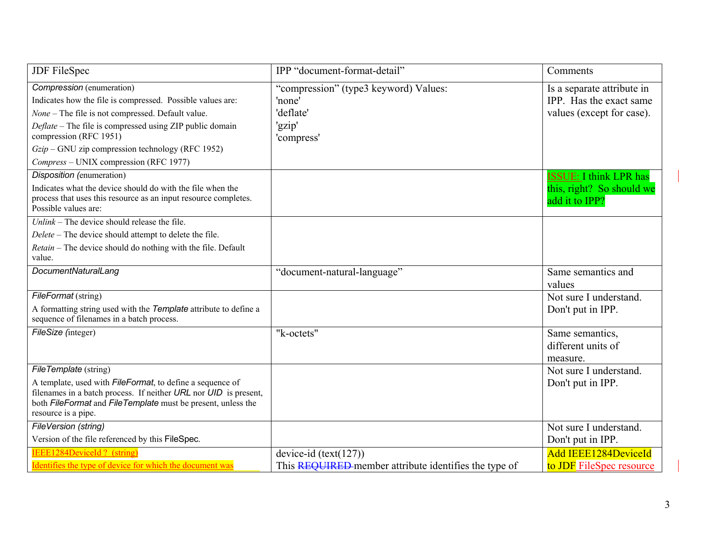| JDF FileSpec                                                                                                                                                                                                                                                                                                                       | IPP "document-format-detail"                                                         | Comments                                                                           |
|------------------------------------------------------------------------------------------------------------------------------------------------------------------------------------------------------------------------------------------------------------------------------------------------------------------------------------|--------------------------------------------------------------------------------------|------------------------------------------------------------------------------------|
| Compression (enumeration)<br>Indicates how the file is compressed. Possible values are:<br>None - The file is not compressed. Default value.<br>Deflate - The file is compressed using ZIP public domain<br>compression (RFC 1951)<br>$Gzip$ – GNU zip compression technology (RFC 1952)<br>Compress – UNIX compression (RFC 1977) | "compression" (type3 keyword) Values:<br>'none'<br>'deflate'<br>'gzip'<br>'compress' | Is a separate attribute in<br>IPP. Has the exact same<br>values (except for case). |
| Disposition (enumeration)<br>Indicates what the device should do with the file when the<br>process that uses this resource as an input resource completes.<br>Possible values are:                                                                                                                                                 |                                                                                      | <b>ISSUE: I think LPR has</b><br>this, right? So should we<br>add it to IPP?       |
| $Unlink$ – The device should release the file.<br>Delete – The device should attempt to delete the file.<br>Retain - The device should do nothing with the file. Default<br>value.                                                                                                                                                 |                                                                                      |                                                                                    |
| DocumentNaturalLang                                                                                                                                                                                                                                                                                                                | "document-natural-language"                                                          | Same semantics and<br>values                                                       |
| FileFormat (string)<br>A formatting string used with the Template attribute to define a<br>sequence of filenames in a batch process.                                                                                                                                                                                               |                                                                                      | Not sure I understand.<br>Don't put in IPP.                                        |
| FileSize (integer)                                                                                                                                                                                                                                                                                                                 | "k-octets"                                                                           | Same semantics,<br>different units of<br>measure.                                  |
| FileTemplate (string)<br>A template, used with <i>FileFormat</i> , to define a sequence of<br>filenames in a batch process. If neither URL nor UID is present,<br>both FileFormat and FileTemplate must be present, unless the<br>resource is a pipe.                                                                              |                                                                                      | Not sure I understand.<br>Don't put in IPP.                                        |
| FileVersion (string)<br>Version of the file referenced by this FileSpec.                                                                                                                                                                                                                                                           |                                                                                      | Not sure I understand.<br>Don't put in IPP.                                        |
| <b>IEEE1284DeviceId?</b> (string)<br>Identifies the type of device for which the document was                                                                                                                                                                                                                                      | device-id $(text(127))$<br>This REQUIRED member attribute identifies the type of     | <b>Add IEEE1284DeviceId</b><br>to <b>JDF</b> FileSpec resource                     |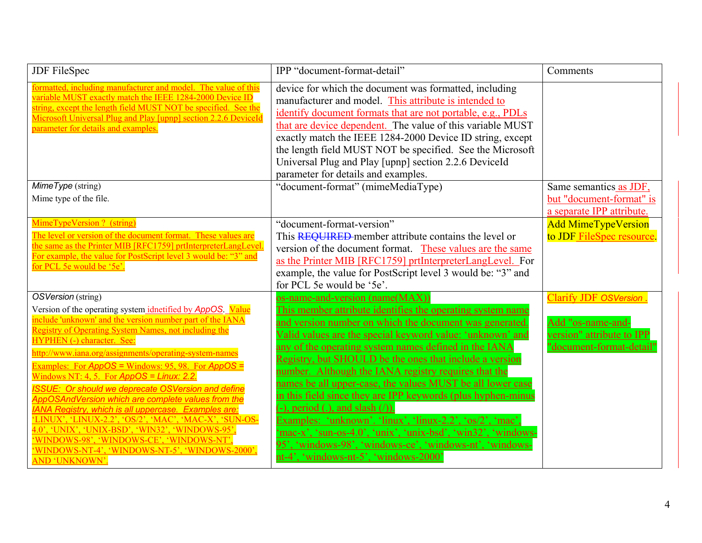| JDF FileSpec                                                                                                                                                                                                                                                                                                                                                                                                                                                                                                                                                                                                                                                                                                                                                                                                                | IPP "document-format-detail"                                                                                                                                                                                                                                                                                                                                                                                                                                                                                                                                                                                                                                                                                                                                                                                                        | Comments                                                                                                   |
|-----------------------------------------------------------------------------------------------------------------------------------------------------------------------------------------------------------------------------------------------------------------------------------------------------------------------------------------------------------------------------------------------------------------------------------------------------------------------------------------------------------------------------------------------------------------------------------------------------------------------------------------------------------------------------------------------------------------------------------------------------------------------------------------------------------------------------|-------------------------------------------------------------------------------------------------------------------------------------------------------------------------------------------------------------------------------------------------------------------------------------------------------------------------------------------------------------------------------------------------------------------------------------------------------------------------------------------------------------------------------------------------------------------------------------------------------------------------------------------------------------------------------------------------------------------------------------------------------------------------------------------------------------------------------------|------------------------------------------------------------------------------------------------------------|
| formatted, including manufacturer and model. The value of this<br>variable MUST exactly match the IEEE 1284-2000 Device ID<br>string, except the length field MUST NOT be specified. See the<br>Microsoft Universal Plug and Play [upnp] section 2.2.6 DeviceId<br>parameter for details and examples.                                                                                                                                                                                                                                                                                                                                                                                                                                                                                                                      | device for which the document was formatted, including<br>manufacturer and model. This attribute is intended to<br>identify document formats that are not portable, e.g., PDLs<br>that are device dependent. The value of this variable MUST<br>exactly match the IEEE 1284-2000 Device ID string, except<br>the length field MUST NOT be specified. See the Microsoft<br>Universal Plug and Play [upnp] section 2.2.6 DeviceId<br>parameter for details and examples.                                                                                                                                                                                                                                                                                                                                                              |                                                                                                            |
| MimeType (string)                                                                                                                                                                                                                                                                                                                                                                                                                                                                                                                                                                                                                                                                                                                                                                                                           | "document-format" (mimeMediaType)                                                                                                                                                                                                                                                                                                                                                                                                                                                                                                                                                                                                                                                                                                                                                                                                   | Same semantics as JDF,                                                                                     |
| Mime type of the file.                                                                                                                                                                                                                                                                                                                                                                                                                                                                                                                                                                                                                                                                                                                                                                                                      |                                                                                                                                                                                                                                                                                                                                                                                                                                                                                                                                                                                                                                                                                                                                                                                                                                     | but "document-format" is<br>a separate IPP attribute.                                                      |
| MimeTypeVersion? (string)<br>The level or version of the document format. These values are<br>the same as the Printer MIB [RFC1759] prtInterpreterLangLevel.<br>For example, the value for PostScript level 3 would be: "3" and<br>for PCL 5e would be '5e'.                                                                                                                                                                                                                                                                                                                                                                                                                                                                                                                                                                | "document-format-version"<br>This REQUIRED member attribute contains the level or<br>version of the document format. These values are the same<br>as the Printer MIB [RFC1759] prtInterpreterLangLevel. For<br>example, the value for PostScript level 3 would be: "3" and<br>for PCL 5e would be '5e'.                                                                                                                                                                                                                                                                                                                                                                                                                                                                                                                             | <b>Add MimeTypeVersion</b><br>to JDF FileSpec resource.                                                    |
| OSVersion (string)<br>Version of the operating system idnetified by AppOS. Value<br>include 'unknown' and the version number part of the IANA<br><b>Registry of Operating System Names, not including the</b><br><b>HYPHEN (-) character. See:</b><br>http://www.iana.org/assignments/operating-system-names<br>Examples: For $AppOS = Windows: 95, 98$ . For $AppOS =$<br>Windows NT: 4, 5. For $AppOS = Linux: 2.2$ .<br><b>ISSUE: Or should we deprecate OSVersion and define</b><br>AppOSAndVersion which are complete values from the<br><b>IANA Registry, which is all uppercase. Examples are:</b><br>X', 'LINUX-2.2', 'OS/2', 'MAC', 'MAC-X', 'SUN-OS-<br>'UNIX', 'UNIX-BSD', 'WIN32', 'WINDOWS-95'<br>WINDOWS-98', 'WINDOWS-CE', 'WINDOWS-NT'.<br>WINDOWS-NT-4', 'WINDOWS-NT-5', 'WINDOWS-2000',<br>AND 'UNKNOWN'. | os-name-and-version (name(MAX))<br>This member attribute identifies the operating system name<br>and version number on which the document was generated.<br>Valid values are the special keyword value: 'unknown' and<br>any of the operating system names defined in the IANA<br>Registry, but SHOULD be the ones that include a version<br>number. Although the IANA registry requires that the<br>names be all upper-case, the values MUST be all lower case<br>in this field since they are IPP keywords (plus hyphen-minus<br>period (.), and slash $($ <sup>)</sup> ).<br>Examples: 'unknown'. ' $\lim_{x \to 2}$ ', ' $\lim_{x \to 2}$ ', 'os/2', 'mac'<br>mac-x', 'sun-os-4.0', 'unix', 'unix-bsd', 'win32', 'windows-<br>95', 'windows-98', 'windows-ce', 'windows-nt', 'windows-<br>nt-4', 'windows-nt-5', 'windows-2000' | <b>Clarify JDF OSVersion</b><br>Add "os-name-and-<br>version" attribute to IPP<br>"document-format-detail" |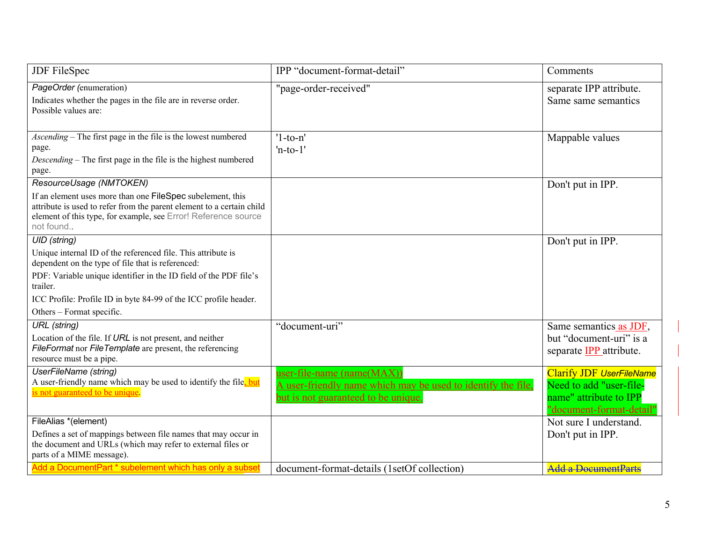| <b>JDF</b> FileSpec                                                                                                                                                                                                                                                                                                        | IPP "document-format-detail"                                                                                                      | Comments                                                                                                         |
|----------------------------------------------------------------------------------------------------------------------------------------------------------------------------------------------------------------------------------------------------------------------------------------------------------------------------|-----------------------------------------------------------------------------------------------------------------------------------|------------------------------------------------------------------------------------------------------------------|
| PageOrder (enumeration)<br>Indicates whether the pages in the file are in reverse order.<br>Possible values are:                                                                                                                                                                                                           | "page-order-received"                                                                                                             | separate IPP attribute.<br>Same same semantics                                                                   |
| Ascending – The first page in the file is the lowest numbered<br>page.<br>Descending – The first page in the file is the highest numbered<br>page.                                                                                                                                                                         | $'1$ -to-n'<br>$'n-to-1'$                                                                                                         | Mappable values                                                                                                  |
| ResourceUsage (NMTOKEN)<br>If an element uses more than one FileSpec subelement, this<br>attribute is used to refer from the parent element to a certain child<br>element of this type, for example, see Error! Reference source<br>not found                                                                              |                                                                                                                                   | Don't put in IPP.                                                                                                |
| <b>UID</b> (string)<br>Unique internal ID of the referenced file. This attribute is<br>dependent on the type of file that is referenced:<br>PDF: Variable unique identifier in the ID field of the PDF file's<br>trailer.<br>ICC Profile: Profile ID in byte 84-99 of the ICC profile header.<br>Others – Format specific. |                                                                                                                                   | Don't put in IPP.                                                                                                |
| <b>URL</b> (string)<br>Location of the file. If URL is not present, and neither<br>FileFormat nor FileTemplate are present, the referencing<br>resource must be a pipe.                                                                                                                                                    | "document-uri"                                                                                                                    | Same semantics as JDF,<br>but "document-uri" is a<br>separate <b>IPP</b> attribute.                              |
| UserFileName (string)<br>A user-friendly name which may be used to identify the file. but<br>is not guaranteed to be unique.                                                                                                                                                                                               | user-file-name (name(MAX))<br>A user-friendly name which may be used to identify the file,<br>but is not guaranteed to be unique. | <b>Clarify JDF UserFileName</b><br>Need to add "user-file-<br>name" attribute to IPP<br>"document-format-detail" |
| FileAlias *(element)<br>Defines a set of mappings between file names that may occur in<br>the document and URLs (which may refer to external files or<br>parts of a MIME message).                                                                                                                                         |                                                                                                                                   | Not sure I understand.<br>Don't put in IPP.                                                                      |
| Add a DocumentPart * subelement which has only a subset                                                                                                                                                                                                                                                                    | document-format-details (1setOf collection)                                                                                       | <b>Add a DocumentParts</b>                                                                                       |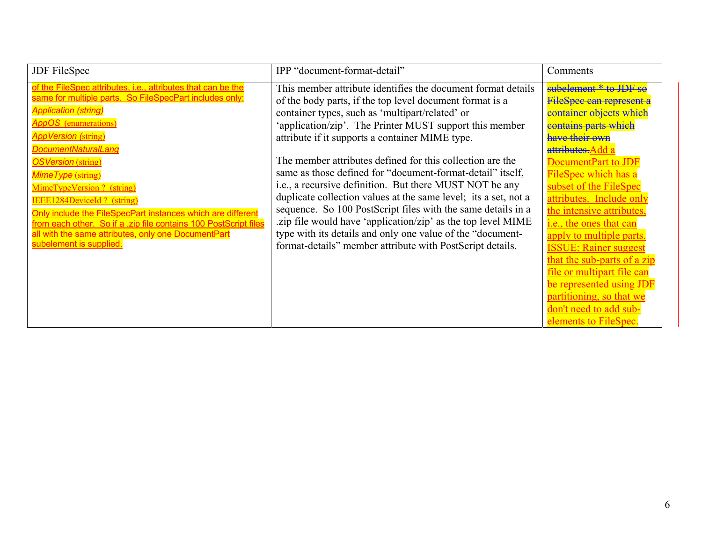| <b>JDF</b> FileSpec                                                                                                                                                                                                                                                                                                                                                                                                                                                                                                                                                                  | IPP "document-format-detail"                                                                                                                                                                                                                                                                                                                                                                                                                                                                                                                                                                                                                                                                                                                                                                                  | Comments                                                                                                                                                                                                                                                                                                                                                                                                                                                                                                                                                |
|--------------------------------------------------------------------------------------------------------------------------------------------------------------------------------------------------------------------------------------------------------------------------------------------------------------------------------------------------------------------------------------------------------------------------------------------------------------------------------------------------------------------------------------------------------------------------------------|---------------------------------------------------------------------------------------------------------------------------------------------------------------------------------------------------------------------------------------------------------------------------------------------------------------------------------------------------------------------------------------------------------------------------------------------------------------------------------------------------------------------------------------------------------------------------------------------------------------------------------------------------------------------------------------------------------------------------------------------------------------------------------------------------------------|---------------------------------------------------------------------------------------------------------------------------------------------------------------------------------------------------------------------------------------------------------------------------------------------------------------------------------------------------------------------------------------------------------------------------------------------------------------------------------------------------------------------------------------------------------|
| of the FileSpec attributes, i.e., attributes that can be the<br>same for multiple parts. So FileSpecPart includes only:<br><b>Application (string)</b><br><b>AppOS</b> (enumerations)<br><b>AppVersion (string)</b><br>DocumentNaturalLang<br><b>OSVersion</b> (string)<br>Mime Type (string)<br>MimeTypeVersion ? (string)<br><b>IEEE1284DeviceId?</b> (string)<br>Only include the FileSpecPart instances which are different<br>from each other. So if a zip file contains 100 PostScript files<br>all with the same attributes, only one DocumentPart<br>subelement is supplied. | This member attribute identifies the document format details<br>of the body parts, if the top level document format is a<br>container types, such as 'multipart/related' or<br>'application/zip'. The Printer MUST support this member<br>attribute if it supports a container MIME type.<br>The member attributes defined for this collection are the<br>same as those defined for "document-format-detail" itself,<br>i.e., a recursive definition. But there MUST NOT be any<br>duplicate collection values at the same level; its a set, not a<br>sequence. So 100 PostScript files with the same details in a<br>.zip file would have 'application/zip' as the top level MIME<br>type with its details and only one value of the "document-<br>format-details" member attribute with PostScript details. | subelement * to JDF se<br>FileSpee ean represent a<br><del>container objects which</del><br>contains parts which<br>aave their own<br>attributes.Add a<br>DocumentPart to JDI<br>FileSpec which has a<br>subset of the FileSpec<br>attributes. Include only<br>the intensive attributes,<br>i.e., the ones that can<br>apply to multiple parts.<br><b>ISSUE: Rainer suggest</b><br>that the sub-parts of a zip<br>file or multipart file can<br>be represented using JDF<br>partitioning, so that we<br>don't need to add sub-<br>elements to FileSpec. |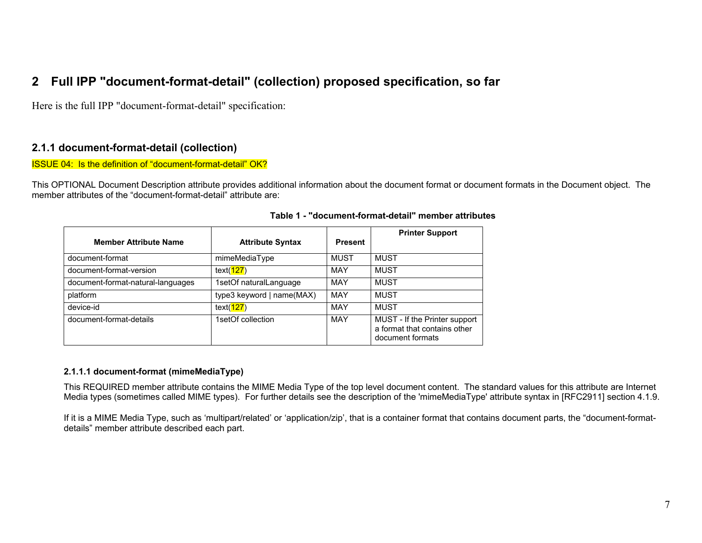# **2 Full IPP "document-format-detail" (collection) proposed specification, so far**

Here is the full IPP "document-format-detail" specification:

## **2.1.1 document-format-detail (collection)**

ISSUE 04: Is the definition of "document-format-detail" OK?

This OPTIONAL Document Description attribute provides additional information about the document format or document formats in the Document object. The member attributes of the "document-format-detail" attribute are:

| <b>Member Attribute Name</b>      | <b>Attribute Syntax</b>   | <b>Present</b> | <b>Printer Support</b>                                                            |
|-----------------------------------|---------------------------|----------------|-----------------------------------------------------------------------------------|
| document-format                   | mimeMediaType             | <b>MUST</b>    | <b>MUST</b>                                                                       |
| document-format-version           | text( <b>127</b> )        | <b>MAY</b>     | MUST                                                                              |
| document-format-natural-languages | 1setOf naturalLanguage    | MAY            | MUST                                                                              |
| platform                          | type3 keyword   name(MAX) | MAY            | <b>MUST</b>                                                                       |
| device-id                         | text( <b>127</b> )        | MAY            | MUST                                                                              |
| document-format-details           | 1setOf collection         | <b>MAY</b>     | MUST - If the Printer support<br>a format that contains other<br>document formats |

#### **Table 1 - "document-format-detail" member attributes**

#### **2.1.1.1 document-format (mimeMediaType)**

This REQUIRED member attribute contains the MIME Media Type of the top level document content. The standard values for this attribute are Internet Media types (sometimes called MIME types). For further details see the description of the 'mimeMediaType' attribute syntax in [RFC2911] section 4.1.9.

If it is a MIME Media Type, such as 'multipart/related' or 'application/zip', that is a container format that contains document parts, the "document-formatdetails" member attribute described each part.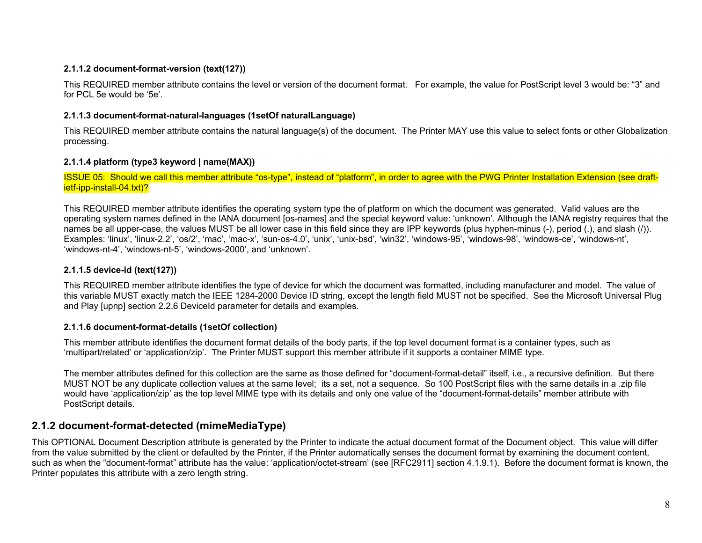#### **2.1.1.2 document-format-version (text(127))**

This REQUIRED member attribute contains the level or version of the document format. For example, the value for PostScript level 3 would be: "3" and for PCL 5e would be '5e'.

### **2.1.1.3 document-format-natural-languages (1setOf naturalLanguage)**

This REQUIRED member attribute contains the natural language(s) of the document. The Printer MAY use this value to select fonts or other Globalization processing.

### **2.1.1.4 platform (type3 keyword | name(MAX))**

ISSUE 05: Should we call this member attribute "os-type", instead of "platform", in order to agree with the PWG Printer Installation Extension (see draftietf-ipp-install-04.txt)?

This REQUIRED member attribute identifies the operating system type the of platform on which the document was generated. Valid values are the operating system names defined in the IANA document [os-names] and the special keyword value: 'unknown'. Although the IANA registry requires that the names be all upper-case, the values MUST be all lower case in this field since they are IPP keywords (plus hyphen-minus (-), period (.), and slash (/)). Examples: 'linux', 'linux-2.2', 'os/2', 'mac', 'mac-x', 'sun-os-4.0', 'unix', 'unix-bsd', 'win32', 'windows-95', 'windows-98', 'windows-ce', 'windows-nt', 'windows-nt-4', 'windows-nt-5', 'windows-2000', and 'unknown'.

### **2.1.1.5 device-id (text(127))**

This REQUIRED member attribute identifies the type of device for which the document was formatted, including manufacturer and model. The value of this variable MUST exactly match the IEEE 1284-2000 Device ID string, except the length field MUST not be specified. See the Microsoft Universal Plug and Play [upnp] section 2.2.6 DeviceId parameter for details and examples.

### **2.1.1.6 document-format-details (1setOf collection)**

This member attribute identifies the document format details of the body parts, if the top level document format is a container types, such as 'multipart/related' or 'application/zip'. The Printer MUST support this member attribute if it supports a container MIME type.

The member attributes defined for this collection are the same as those defined for "document-format-detail" itself, i.e., a recursive definition. But there MUST NOT be any duplicate collection values at the same level; its a set, not a sequence. So 100 PostScript files with the same details in a .zip file would have 'application/zip' as the top level MIME type with its details and only one value of the "document-format-details" member attribute with PostScript details.

# **2.1.2 document-format-detected (mimeMediaType)**

This OPTIONAL Document Description attribute is generated by the Printer to indicate the actual document format of the Document object. This value will differ from the value submitted by the client or defaulted by the Printer, if the Printer automatically senses the document format by examining the document content, such as when the "document-format" attribute has the value: 'application/octet-stream' (see [RFC2911] section 4.1.9.1). Before the document format is known, the Printer populates this attribute with a zero length string.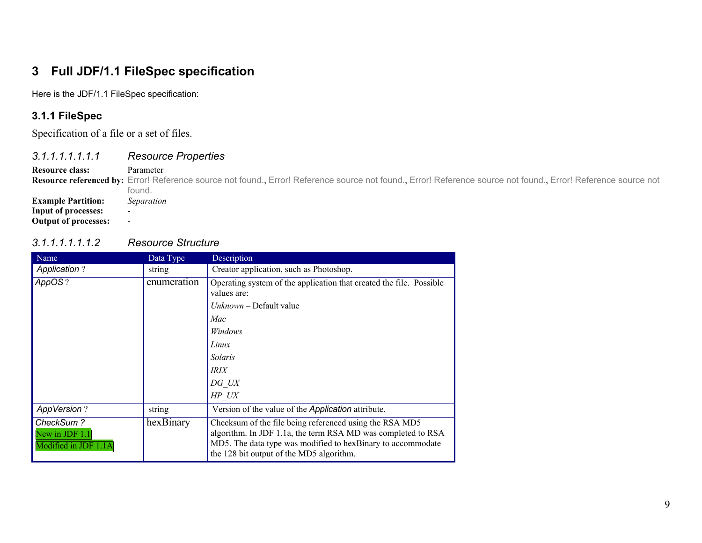# **3 Full JDF/1.1 FileSpec specification**

Here is the JDF/1.1 FileSpec specification:

# **3.1.1 FileSpec**

Specification of a file or a set of files.

## *3.1.1.1.1.1.1.1 Resource Properties*

#### **Resource class:** Parameter

Resource referenced by: Error! Reference source not found., Error! Reference source not found., Error! Reference not found., Error! Reference source not found., Error! Reference source not found. **Example Partition:** *Separation* **Input of processes:** -

**Output of processes:** -

## *3.1.1.1.1.1.1.2 Resource Structure*

| Name                                                | Data Type   | Description                                                                                                                                                                                                                        |
|-----------------------------------------------------|-------------|------------------------------------------------------------------------------------------------------------------------------------------------------------------------------------------------------------------------------------|
| <b>Application?</b>                                 | string      | Creator application, such as Photoshop.                                                                                                                                                                                            |
| AppOS?                                              | enumeration | Operating system of the application that created the file. Possible<br>values are:                                                                                                                                                 |
|                                                     |             | $Unknown - Default value$                                                                                                                                                                                                          |
|                                                     |             | Mac                                                                                                                                                                                                                                |
|                                                     |             | Windows                                                                                                                                                                                                                            |
|                                                     |             | Linux                                                                                                                                                                                                                              |
|                                                     |             | Solaris                                                                                                                                                                                                                            |
|                                                     |             | <b>IRIX</b>                                                                                                                                                                                                                        |
|                                                     |             | DG UX                                                                                                                                                                                                                              |
|                                                     |             | HP UX                                                                                                                                                                                                                              |
| <b>AppVersion?</b>                                  | string      | Version of the value of the <i>Application</i> attribute.                                                                                                                                                                          |
| CheckSum?<br>New in JDF 1.1<br>Modified in JDF 1.1A | hexBinary   | Checksum of the file being referenced using the RSA MD5<br>algorithm. In JDF 1.1a, the term RSA MD was completed to RSA<br>MD5. The data type was modified to hexBinary to accommodate<br>the 128 bit output of the MD5 algorithm. |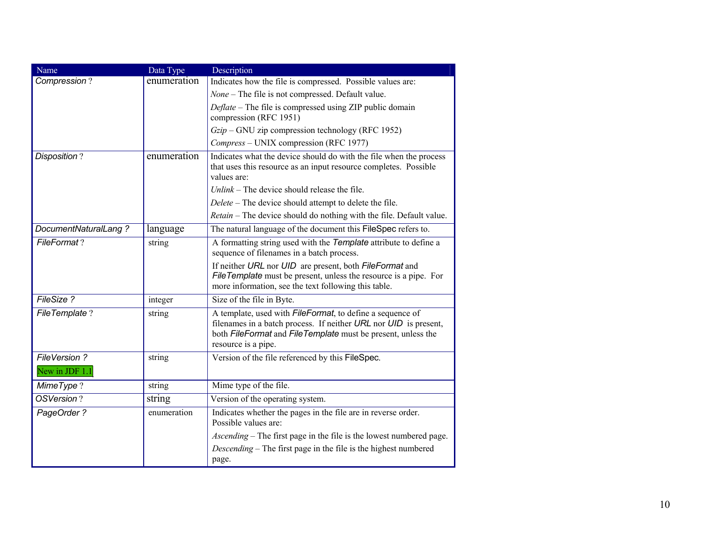| Name                           | Data Type   | Description                                                                                                                                                                                                                      |
|--------------------------------|-------------|----------------------------------------------------------------------------------------------------------------------------------------------------------------------------------------------------------------------------------|
| Compression?                   | enumeration | Indicates how the file is compressed. Possible values are:                                                                                                                                                                       |
|                                |             | None - The file is not compressed. Default value.                                                                                                                                                                                |
|                                |             | Deflate - The file is compressed using ZIP public domain<br>compression (RFC 1951)                                                                                                                                               |
|                                |             | $Gzip$ – GNU zip compression technology (RFC 1952)                                                                                                                                                                               |
|                                |             | Compress - UNIX compression (RFC 1977)                                                                                                                                                                                           |
| Disposition?                   | enumeration | Indicates what the device should do with the file when the process<br>that uses this resource as an input resource completes. Possible<br>values are:                                                                            |
|                                |             | $Unlink$ – The device should release the file.                                                                                                                                                                                   |
|                                |             | Delete - The device should attempt to delete the file.                                                                                                                                                                           |
|                                |             | Retain - The device should do nothing with the file. Default value.                                                                                                                                                              |
| DocumentNaturalLang?           | language    | The natural language of the document this FileSpec refers to.                                                                                                                                                                    |
| FileFormat?                    | string      | A formatting string used with the Template attribute to define a<br>sequence of filenames in a batch process.                                                                                                                    |
|                                |             | If neither URL nor UID are present, both FileFormat and<br>FileTemplate must be present, unless the resource is a pipe. For<br>more information, see the text following this table.                                              |
| FileSize?                      | integer     | Size of the file in Byte.                                                                                                                                                                                                        |
| FileTemplate?                  | string      | A template, used with <i>FileFormat</i> , to define a sequence of<br>filenames in a batch process. If neither $URL$ nor $UID$ is present,<br>both FileFormat and FileTemplate must be present, unless the<br>resource is a pipe. |
| FileVersion?<br>New in JDF 1.1 | string      | Version of the file referenced by this FileSpec.                                                                                                                                                                                 |
| MimeType?                      | string      | Mime type of the file.                                                                                                                                                                                                           |
| OSVersion?                     | string      | Version of the operating system.                                                                                                                                                                                                 |
| PageOrder?                     | enumeration | Indicates whether the pages in the file are in reverse order.<br>Possible values are:                                                                                                                                            |
|                                |             | Ascending – The first page in the file is the lowest numbered page.                                                                                                                                                              |
|                                |             | Descending – The first page in the file is the highest numbered<br>page.                                                                                                                                                         |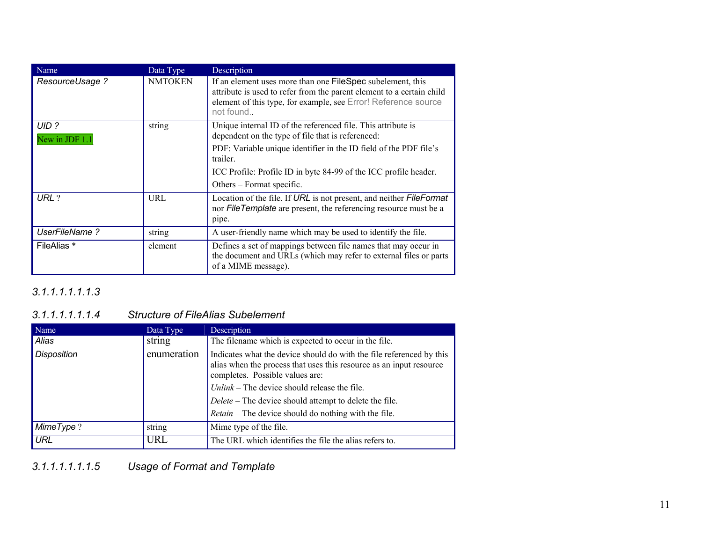| Name                    | Data Type      | Description                                                                                                                                                                                                        |
|-------------------------|----------------|--------------------------------------------------------------------------------------------------------------------------------------------------------------------------------------------------------------------|
| ResourceUsage ?         | <b>NMTOKEN</b> | If an element uses more than one FileSpec subelement, this<br>attribute is used to refer from the parent element to a certain child<br>element of this type, for example, see Error! Reference source<br>not found |
| UID ?<br>New in JDF 1.1 | string         | Unique internal ID of the referenced file. This attribute is<br>dependent on the type of file that is referenced:                                                                                                  |
|                         |                | PDF: Variable unique identifier in the ID field of the PDF file's<br>trailer.                                                                                                                                      |
|                         |                | ICC Profile: Profile ID in byte 84-99 of the ICC profile header.                                                                                                                                                   |
|                         |                | Others – Format specific.                                                                                                                                                                                          |
| URL ?                   | URL            | Location of the file. If URL is not present, and neither FileFormat<br>nor FileTemplate are present, the referencing resource must be a<br>pipe.                                                                   |
| UserFileName?           | string         | A user-friendly name which may be used to identify the file.                                                                                                                                                       |
| FileAlias *             | element        | Defines a set of mappings between file names that may occur in<br>the document and URLs (which may refer to external files or parts<br>of a MIME message).                                                         |

# *3.1.1.1.1.1.1.3*

#### *3.1.1.1.1.1.1.4 Structure ofFileAlias Subelement*

| Name               | Data Type   | Description                                                                                                                                                                                                                                                                                                                                               |
|--------------------|-------------|-----------------------------------------------------------------------------------------------------------------------------------------------------------------------------------------------------------------------------------------------------------------------------------------------------------------------------------------------------------|
| Alias              | string      | The filename which is expected to occur in the file.                                                                                                                                                                                                                                                                                                      |
| <b>Disposition</b> | enumeration | Indicates what the device should do with the file referenced by this<br>alias when the process that uses this resource as an input resource<br>completes. Possible values are:<br>$Unlink$ – The device should release the file.<br>Delete – The device should attempt to delete the file.<br><i>Retain</i> – The device should do nothing with the file. |
| MimeType?          | string      | Mime type of the file.                                                                                                                                                                                                                                                                                                                                    |
| <b>URL</b>         | URL         | The URL which identifies the file the alias refers to.                                                                                                                                                                                                                                                                                                    |

*3.1.1.1.1.1.1.5 Usage of Format and Template*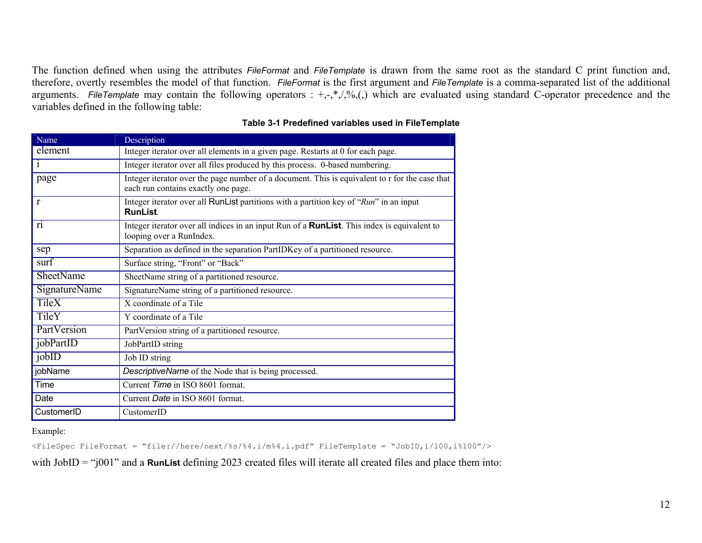The function defined when using the attributes *FileFormat* and *FileTemplate* is drawn from the same root as the standard C print function and, therefore, overtly resembles the model of that function. *FileFormat* is the first argument and *FileTemplate* is a comma-separated list of the additional arguments. FileTemplate may contain the following operators : +,-,\*,/,%,(,) which are evaluated using standard C-operator precedence and the variables defined in the following table:

| Name                 | Description                                                                                                                           |
|----------------------|---------------------------------------------------------------------------------------------------------------------------------------|
| element              | Integer iterator over all elements in a given page. Restarts at 0 for each page.                                                      |
| $\mathbf{1}$         | Integer iterator over all files produced by this process. 0-based numbering.                                                          |
| page                 | Integer iterator over the page number of a document. This is equivalent to r for the case that<br>each run contains exactly one page. |
| r                    | Integer iterator over all RunList partitions with a partition key of "Run" in an input<br><b>RunList</b>                              |
| r <sub>1</sub>       | Integer iterator over all indices in an input Run of a <b>RunList</b> . This index is equivalent to<br>looping over a RunIndex.       |
| sep                  | Separation as defined in the separation PartIDKey of a partitioned resource.                                                          |
| surf                 | Surface string, "Front" or "Back"                                                                                                     |
| <b>SheetName</b>     | SheetName string of a partitioned resource.                                                                                           |
| <b>SignatureName</b> | SignatureName string of a partitioned resource.                                                                                       |
| <b>TileX</b>         | X coordinate of a Tile                                                                                                                |
| TileY                | Y coordinate of a Tile                                                                                                                |
| PartVersion          | PartVersion string of a partitioned resource.                                                                                         |
| jobPartID            | JobPartID string                                                                                                                      |
| jobID                | Job ID string                                                                                                                         |
| jobName              | DescriptiveName of the Node that is being processed.                                                                                  |
| Time                 | Current Time in ISO 8601 format.                                                                                                      |
| Date                 | Current Date in ISO 8601 format.                                                                                                      |
| CustomerID           | CustomerID                                                                                                                            |

**Table 3-1 Predefined variables used in FileTemplate** 

Example:

<FileSpec FileFormat = "file://here/next/%s/%4.i/m%4.i.pdf" FileTemplate = "JobID,i/100,i%100"/>

with JobID = "j001" and a **RunList** defining 2023 created files will iterate all created files and place them into: